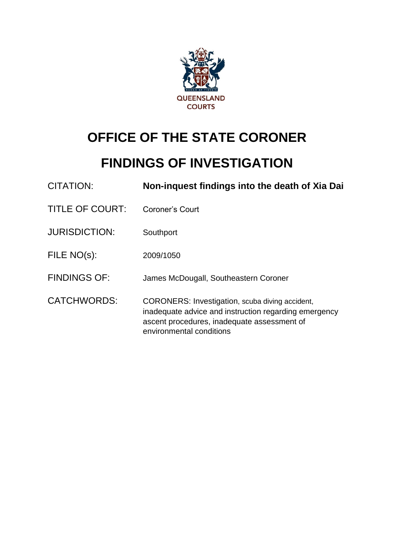

# **OFFICE OF THE STATE CORONER**

## **FINDINGS OF INVESTIGATION**

| <b>CITATION:</b>       | Non-inquest findings into the death of Xia Dai                                                                                                                                      |
|------------------------|-------------------------------------------------------------------------------------------------------------------------------------------------------------------------------------|
| <b>TITLE OF COURT:</b> | Coroner's Court                                                                                                                                                                     |
| <b>JURISDICTION:</b>   | Southport                                                                                                                                                                           |
| FILE NO(s):            | 2009/1050                                                                                                                                                                           |
| <b>FINDINGS OF:</b>    | James McDougall, Southeastern Coroner                                                                                                                                               |
| <b>CATCHWORDS:</b>     | CORONERS: Investigation, scuba diving accident,<br>inadequate advice and instruction regarding emergency<br>ascent procedures, inadequate assessment of<br>environmental conditions |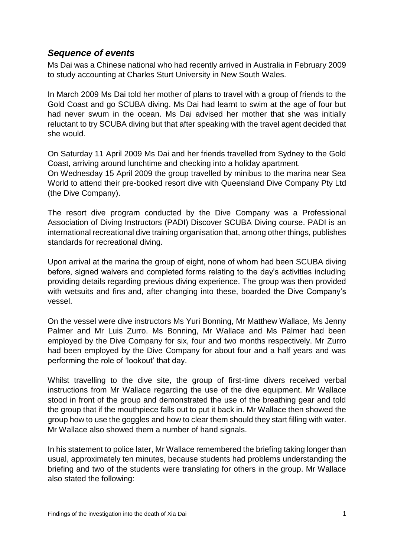#### *Sequence of events*

Ms Dai was a Chinese national who had recently arrived in Australia in February 2009 to study accounting at Charles Sturt University in New South Wales.

In March 2009 Ms Dai told her mother of plans to travel with a group of friends to the Gold Coast and go SCUBA diving. Ms Dai had learnt to swim at the age of four but had never swum in the ocean. Ms Dai advised her mother that she was initially reluctant to try SCUBA diving but that after speaking with the travel agent decided that she would.

On Saturday 11 April 2009 Ms Dai and her friends travelled from Sydney to the Gold Coast, arriving around lunchtime and checking into a holiday apartment.

On Wednesday 15 April 2009 the group travelled by minibus to the marina near Sea World to attend their pre-booked resort dive with Queensland Dive Company Pty Ltd (the Dive Company).

The resort dive program conducted by the Dive Company was a Professional Association of Diving Instructors (PADI) Discover SCUBA Diving course. PADI is an international recreational dive training organisation that, among other things, publishes standards for recreational diving.

Upon arrival at the marina the group of eight, none of whom had been SCUBA diving before, signed waivers and completed forms relating to the day's activities including providing details regarding previous diving experience. The group was then provided with wetsuits and fins and, after changing into these, boarded the Dive Company's vessel.

On the vessel were dive instructors Ms Yuri Bonning, Mr Matthew Wallace, Ms Jenny Palmer and Mr Luis Zurro. Ms Bonning, Mr Wallace and Ms Palmer had been employed by the Dive Company for six, four and two months respectively. Mr Zurro had been employed by the Dive Company for about four and a half years and was performing the role of 'lookout' that day.

Whilst travelling to the dive site, the group of first-time divers received verbal instructions from Mr Wallace regarding the use of the dive equipment. Mr Wallace stood in front of the group and demonstrated the use of the breathing gear and told the group that if the mouthpiece falls out to put it back in. Mr Wallace then showed the group how to use the goggles and how to clear them should they start filling with water. Mr Wallace also showed them a number of hand signals.

In his statement to police later, Mr Wallace remembered the briefing taking longer than usual, approximately ten minutes, because students had problems understanding the briefing and two of the students were translating for others in the group. Mr Wallace also stated the following: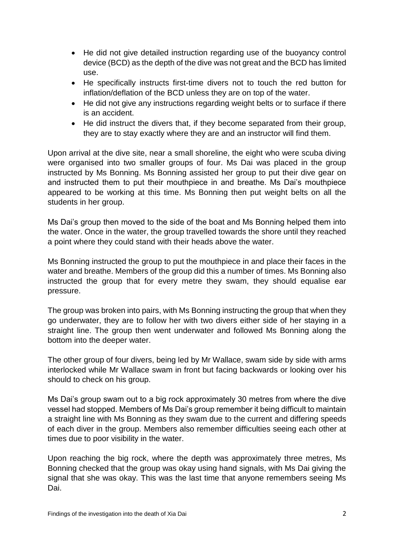- He did not give detailed instruction regarding use of the buoyancy control device (BCD) as the depth of the dive was not great and the BCD has limited use.
- He specifically instructs first-time divers not to touch the red button for inflation/deflation of the BCD unless they are on top of the water.
- He did not give any instructions regarding weight belts or to surface if there is an accident.
- He did instruct the divers that, if they become separated from their group, they are to stay exactly where they are and an instructor will find them.

Upon arrival at the dive site, near a small shoreline, the eight who were scuba diving were organised into two smaller groups of four. Ms Dai was placed in the group instructed by Ms Bonning. Ms Bonning assisted her group to put their dive gear on and instructed them to put their mouthpiece in and breathe. Ms Dai's mouthpiece appeared to be working at this time. Ms Bonning then put weight belts on all the students in her group.

Ms Dai's group then moved to the side of the boat and Ms Bonning helped them into the water. Once in the water, the group travelled towards the shore until they reached a point where they could stand with their heads above the water.

Ms Bonning instructed the group to put the mouthpiece in and place their faces in the water and breathe. Members of the group did this a number of times. Ms Bonning also instructed the group that for every metre they swam, they should equalise ear pressure.

The group was broken into pairs, with Ms Bonning instructing the group that when they go underwater, they are to follow her with two divers either side of her staying in a straight line. The group then went underwater and followed Ms Bonning along the bottom into the deeper water.

The other group of four divers, being led by Mr Wallace, swam side by side with arms interlocked while Mr Wallace swam in front but facing backwards or looking over his should to check on his group.

Ms Dai's group swam out to a big rock approximately 30 metres from where the dive vessel had stopped. Members of Ms Dai's group remember it being difficult to maintain a straight line with Ms Bonning as they swam due to the current and differing speeds of each diver in the group. Members also remember difficulties seeing each other at times due to poor visibility in the water.

Upon reaching the big rock, where the depth was approximately three metres, Ms Bonning checked that the group was okay using hand signals, with Ms Dai giving the signal that she was okay. This was the last time that anyone remembers seeing Ms Dai.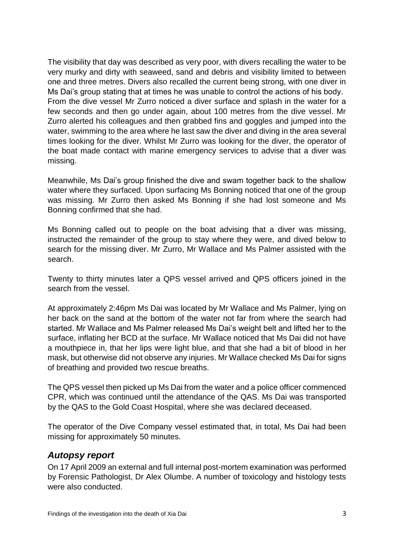The visibility that day was described as very poor, with divers recalling the water to be very murky and dirty with seaweed, sand and debris and visibility limited to between one and three metres. Divers also recalled the current being strong, with one diver in Ms Dai's group stating that at times he was unable to control the actions of his body. From the dive vessel Mr Zurro noticed a diver surface and splash in the water for a few seconds and then go under again, about 100 metres from the dive vessel. Mr Zurro alerted his colleagues and then grabbed fins and goggles and jumped into the water, swimming to the area where he last saw the diver and diving in the area several times looking for the diver. Whilst Mr Zurro was looking for the diver, the operator of the boat made contact with marine emergency services to advise that a diver was missing.

Meanwhile, Ms Dai's group finished the dive and swam together back to the shallow water where they surfaced. Upon surfacing Ms Bonning noticed that one of the group was missing. Mr Zurro then asked Ms Bonning if she had lost someone and Ms Bonning confirmed that she had.

Ms Bonning called out to people on the boat advising that a diver was missing, instructed the remainder of the group to stay where they were, and dived below to search for the missing diver. Mr Zurro, Mr Wallace and Ms Palmer assisted with the search.

Twenty to thirty minutes later a QPS vessel arrived and QPS officers joined in the search from the vessel.

At approximately 2:46pm Ms Dai was located by Mr Wallace and Ms Palmer, lying on her back on the sand at the bottom of the water not far from where the search had started. Mr Wallace and Ms Palmer released Ms Dai's weight belt and lifted her to the surface, inflating her BCD at the surface. Mr Wallace noticed that Ms Dai did not have a mouthpiece in, that her lips were light blue, and that she had a bit of blood in her mask, but otherwise did not observe any injuries. Mr Wallace checked Ms Dai for signs of breathing and provided two rescue breaths.

The QPS vessel then picked up Ms Dai from the water and a police officer commenced CPR, which was continued until the attendance of the QAS. Ms Dai was transported by the QAS to the Gold Coast Hospital, where she was declared deceased.

The operator of the Dive Company vessel estimated that, in total, Ms Dai had been missing for approximately 50 minutes.

#### *Autopsy report*

On 17 April 2009 an external and full internal post-mortem examination was performed by Forensic Pathologist, Dr Alex Olumbe. A number of toxicology and histology tests were also conducted.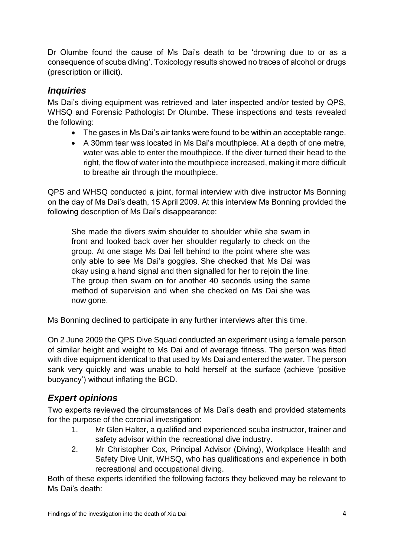Dr Olumbe found the cause of Ms Dai's death to be 'drowning due to or as a consequence of scuba diving'. Toxicology results showed no traces of alcohol or drugs (prescription or illicit).

#### *Inquiries*

Ms Dai's diving equipment was retrieved and later inspected and/or tested by QPS, WHSQ and Forensic Pathologist Dr Olumbe. These inspections and tests revealed the following:

- The gases in Ms Dai's air tanks were found to be within an acceptable range.
- A 30mm tear was located in Ms Dai's mouthpiece. At a depth of one metre, water was able to enter the mouthpiece. If the diver turned their head to the right, the flow of water into the mouthpiece increased, making it more difficult to breathe air through the mouthpiece.

QPS and WHSQ conducted a joint, formal interview with dive instructor Ms Bonning on the day of Ms Dai's death, 15 April 2009. At this interview Ms Bonning provided the following description of Ms Dai's disappearance:

She made the divers swim shoulder to shoulder while she swam in front and looked back over her shoulder regularly to check on the group. At one stage Ms Dai fell behind to the point where she was only able to see Ms Dai's goggles. She checked that Ms Dai was okay using a hand signal and then signalled for her to rejoin the line. The group then swam on for another 40 seconds using the same method of supervision and when she checked on Ms Dai she was now gone.

Ms Bonning declined to participate in any further interviews after this time.

On 2 June 2009 the QPS Dive Squad conducted an experiment using a female person of similar height and weight to Ms Dai and of average fitness. The person was fitted with dive equipment identical to that used by Ms Dai and entered the water. The person sank very quickly and was unable to hold herself at the surface (achieve 'positive buoyancy') without inflating the BCD.

## *Expert opinions*

Two experts reviewed the circumstances of Ms Dai's death and provided statements for the purpose of the coronial investigation:

- 1. Mr Glen Halter, a qualified and experienced scuba instructor, trainer and safety advisor within the recreational dive industry.
- 2. Mr Christopher Cox, Principal Advisor (Diving), Workplace Health and Safety Dive Unit, WHSQ, who has qualifications and experience in both recreational and occupational diving.

Both of these experts identified the following factors they believed may be relevant to Ms Dai's death: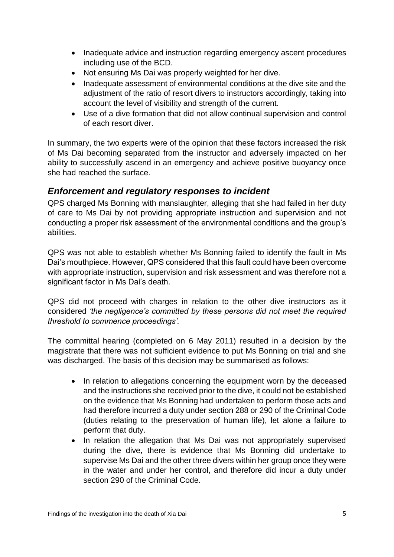- Inadequate advice and instruction regarding emergency ascent procedures including use of the BCD.
- Not ensuring Ms Dai was properly weighted for her dive.
- Inadequate assessment of environmental conditions at the dive site and the adjustment of the ratio of resort divers to instructors accordingly, taking into account the level of visibility and strength of the current.
- Use of a dive formation that did not allow continual supervision and control of each resort diver.

In summary, the two experts were of the opinion that these factors increased the risk of Ms Dai becoming separated from the instructor and adversely impacted on her ability to successfully ascend in an emergency and achieve positive buoyancy once she had reached the surface.

#### *Enforcement and regulatory responses to incident*

QPS charged Ms Bonning with manslaughter, alleging that she had failed in her duty of care to Ms Dai by not providing appropriate instruction and supervision and not conducting a proper risk assessment of the environmental conditions and the group's abilities.

QPS was not able to establish whether Ms Bonning failed to identify the fault in Ms Dai's mouthpiece. However, QPS considered that this fault could have been overcome with appropriate instruction, supervision and risk assessment and was therefore not a significant factor in Ms Dai's death.

QPS did not proceed with charges in relation to the other dive instructors as it considered *'the negligence's committed by these persons did not meet the required threshold to commence proceedings'.*

The committal hearing (completed on 6 May 2011) resulted in a decision by the magistrate that there was not sufficient evidence to put Ms Bonning on trial and she was discharged. The basis of this decision may be summarised as follows:

- In relation to allegations concerning the equipment worn by the deceased and the instructions she received prior to the dive, it could not be established on the evidence that Ms Bonning had undertaken to perform those acts and had therefore incurred a duty under section 288 or 290 of the Criminal Code (duties relating to the preservation of human life), let alone a failure to perform that duty.
- In relation the allegation that Ms Dai was not appropriately supervised during the dive, there is evidence that Ms Bonning did undertake to supervise Ms Dai and the other three divers within her group once they were in the water and under her control, and therefore did incur a duty under section 290 of the Criminal Code.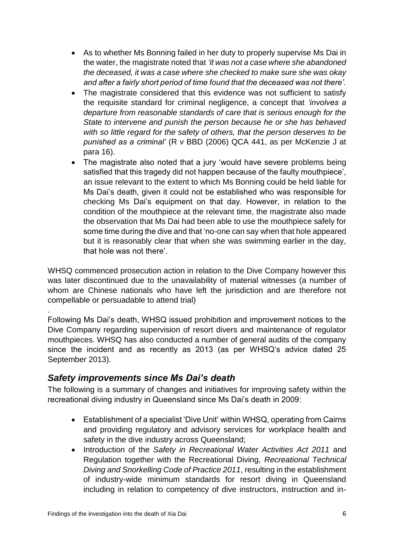- As to whether Ms Bonning failed in her duty to properly supervise Ms Dai in the water, the magistrate noted that *'it was not a case where she abandoned the deceased, it was a case where she checked to make sure she was okay and after a fairly short period of time found that the deceased was not there'.*
- The magistrate considered that this evidence was not sufficient to satisfy the requisite standard for criminal negligence, a concept that *'involves a departure from reasonable standards of care that is serious enough for the State to intervene and punish the person because he or she has behaved with so little regard for the safety of others, that the person deserves to be punished as a criminal'* (R v BBD (2006) QCA 441, as per McKenzie J at para 16).
- The magistrate also noted that a jury 'would have severe problems being satisfied that this tragedy did not happen because of the faulty mouthpiece', an issue relevant to the extent to which Ms Bonning could be held liable for Ms Dai's death, given it could not be established who was responsible for checking Ms Dai's equipment on that day. However, in relation to the condition of the mouthpiece at the relevant time, the magistrate also made the observation that Ms Dai had been able to use the mouthpiece safely for some time during the dive and that 'no-one can say when that hole appeared but it is reasonably clear that when she was swimming earlier in the day, that hole was not there'.

WHSQ commenced prosecution action in relation to the Dive Company however this was later discontinued due to the unavailability of material witnesses (a number of whom are Chinese nationals who have left the jurisdiction and are therefore not compellable or persuadable to attend trial)

Following Ms Dai's death, WHSQ issued prohibition and improvement notices to the Dive Company regarding supervision of resort divers and maintenance of regulator mouthpieces. WHSQ has also conducted a number of general audits of the company since the incident and as recently as 2013 (as per WHSQ's advice dated 25 September 2013).

#### *Safety improvements since Ms Dai's death*

.

The following is a summary of changes and initiatives for improving safety within the recreational diving industry in Queensland since Ms Dai's death in 2009:

- Establishment of a specialist 'Dive Unit' within WHSQ, operating from Cairns and providing regulatory and advisory services for workplace health and safety in the dive industry across Queensland;
- Introduction of the *Safety in Recreational Water Activities Act 2011* and Regulation together with the Recreational Diving, *Recreational Technical Diving and Snorkelling Code of Practice 2011*, resulting in the establishment of industry-wide minimum standards for resort diving in Queensland including in relation to competency of dive instructors, instruction and in-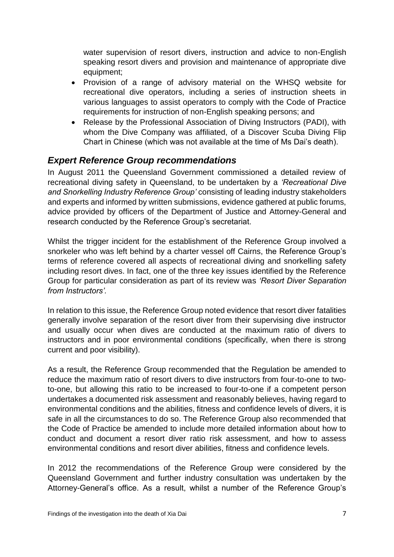water supervision of resort divers, instruction and advice to non-English speaking resort divers and provision and maintenance of appropriate dive equipment;

- Provision of a range of advisory material on the WHSQ website for recreational dive operators, including a series of instruction sheets in various languages to assist operators to comply with the Code of Practice requirements for instruction of non-English speaking persons; and
- Release by the Professional Association of Diving Instructors (PADI), with whom the Dive Company was affiliated, of a Discover Scuba Diving Flip Chart in Chinese (which was not available at the time of Ms Dai's death).

#### *Expert Reference Group recommendations*

In August 2011 the Queensland Government commissioned a detailed review of recreational diving safety in Queensland, to be undertaken by a *'Recreational Dive and Snorkelling Industry Reference Group'* consisting of leading industry stakeholders and experts and informed by written submissions, evidence gathered at public forums, advice provided by officers of the Department of Justice and Attorney-General and research conducted by the Reference Group's secretariat.

Whilst the trigger incident for the establishment of the Reference Group involved a snorkeler who was left behind by a charter vessel off Cairns, the Reference Group's terms of reference covered all aspects of recreational diving and snorkelling safety including resort dives. In fact, one of the three key issues identified by the Reference Group for particular consideration as part of its review was *'Resort Diver Separation from Instructors'.* 

In relation to this issue, the Reference Group noted evidence that resort diver fatalities generally involve separation of the resort diver from their supervising dive instructor and usually occur when dives are conducted at the maximum ratio of divers to instructors and in poor environmental conditions (specifically, when there is strong current and poor visibility).

As a result, the Reference Group recommended that the Regulation be amended to reduce the maximum ratio of resort divers to dive instructors from four-to-one to twoto-one, but allowing this ratio to be increased to four-to-one if a competent person undertakes a documented risk assessment and reasonably believes, having regard to environmental conditions and the abilities, fitness and confidence levels of divers, it is safe in all the circumstances to do so. The Reference Group also recommended that the Code of Practice be amended to include more detailed information about how to conduct and document a resort diver ratio risk assessment, and how to assess environmental conditions and resort diver abilities, fitness and confidence levels.

In 2012 the recommendations of the Reference Group were considered by the Queensland Government and further industry consultation was undertaken by the Attorney-General's office. As a result, whilst a number of the Reference Group's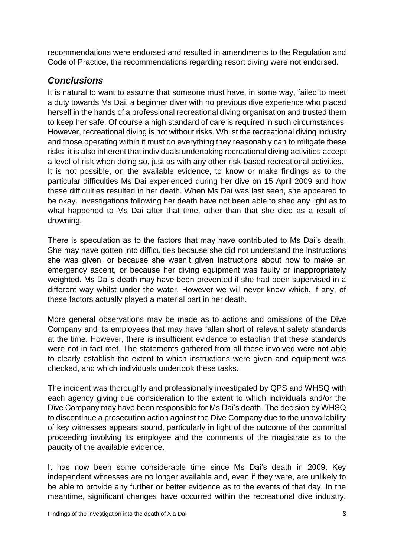recommendations were endorsed and resulted in amendments to the Regulation and Code of Practice, the recommendations regarding resort diving were not endorsed.

### *Conclusions*

It is natural to want to assume that someone must have, in some way, failed to meet a duty towards Ms Dai, a beginner diver with no previous dive experience who placed herself in the hands of a professional recreational diving organisation and trusted them to keep her safe. Of course a high standard of care is required in such circumstances. However, recreational diving is not without risks. Whilst the recreational diving industry and those operating within it must do everything they reasonably can to mitigate these risks, it is also inherent that individuals undertaking recreational diving activities accept a level of risk when doing so, just as with any other risk-based recreational activities. It is not possible, on the available evidence, to know or make findings as to the particular difficulties Ms Dai experienced during her dive on 15 April 2009 and how these difficulties resulted in her death. When Ms Dai was last seen, she appeared to be okay. Investigations following her death have not been able to shed any light as to what happened to Ms Dai after that time, other than that she died as a result of drowning.

There is speculation as to the factors that may have contributed to Ms Dai's death. She may have gotten into difficulties because she did not understand the instructions she was given, or because she wasn't given instructions about how to make an emergency ascent, or because her diving equipment was faulty or inappropriately weighted. Ms Dai's death may have been prevented if she had been supervised in a different way whilst under the water. However we will never know which, if any, of these factors actually played a material part in her death.

More general observations may be made as to actions and omissions of the Dive Company and its employees that may have fallen short of relevant safety standards at the time. However, there is insufficient evidence to establish that these standards were not in fact met. The statements gathered from all those involved were not able to clearly establish the extent to which instructions were given and equipment was checked, and which individuals undertook these tasks.

The incident was thoroughly and professionally investigated by QPS and WHSQ with each agency giving due consideration to the extent to which individuals and/or the Dive Company may have been responsible for Ms Dai's death. The decision by WHSQ to discontinue a prosecution action against the Dive Company due to the unavailability of key witnesses appears sound, particularly in light of the outcome of the committal proceeding involving its employee and the comments of the magistrate as to the paucity of the available evidence.

It has now been some considerable time since Ms Dai's death in 2009. Key independent witnesses are no longer available and, even if they were, are unlikely to be able to provide any further or better evidence as to the events of that day. In the meantime, significant changes have occurred within the recreational dive industry.